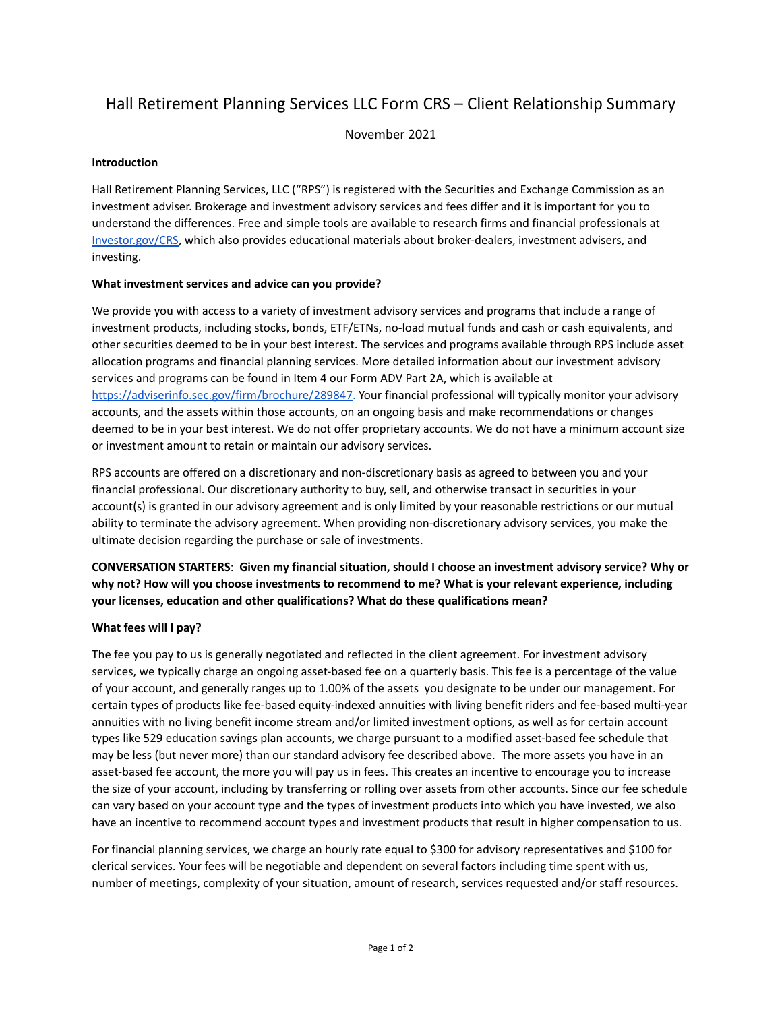# Hall Retirement Planning Services LLC Form CRS – Client Relationship Summary

November 2021

#### **Introduction**

Hall Retirement Planning Services, LLC ("RPS") is registered with the Securities and Exchange Commission as an investment adviser. Brokerage and investment advisory services and fees differ and it is important for you to understand the differences. Free and simple tools are available to research firms and financial professionals at [Investor.gov/CRS,](https://www.investor.gov/CRS) which also provides educational materials about broker-dealers, investment advisers, and investing.

## **What investment services and advice can you provide?**

We provide you with access to a variety of investment advisory services and programs that include a range of investment products, including stocks, bonds, ETF/ETNs, no-load mutual funds and cash or cash equivalents, and other securities deemed to be in your best interest. The services and programs available through RPS include asset allocation programs and financial planning services. More detailed information about our investment advisory services and programs can be found in Item 4 our Form ADV Part 2A, which is available at <https://adviserinfo.sec.gov/firm/brochure/289847>. Your financial professional will typically monitor your advisory accounts, and the assets within those accounts, on an ongoing basis and make recommendations or changes deemed to be in your best interest. We do not offer proprietary accounts. We do not have a minimum account size or investment amount to retain or maintain our advisory services.

RPS accounts are offered on a discretionary and non-discretionary basis as agreed to between you and your financial professional. Our discretionary authority to buy, sell, and otherwise transact in securities in your account(s) is granted in our advisory agreement and is only limited by your reasonable restrictions or our mutual ability to terminate the advisory agreement. When providing non-discretionary advisory services, you make the ultimate decision regarding the purchase or sale of investments.

**CONVERSATION STARTERS**: **Given my financial situation, should I choose an investment advisory service? Why or why not? How will you choose investments to recommend to me? What is your relevant experience, including your licenses, education and other qualifications? What do these qualifications mean?**

#### **What fees will I pay?**

The fee you pay to us is generally negotiated and reflected in the client agreement. For investment advisory services, we typically charge an ongoing asset-based fee on a quarterly basis. This fee is a percentage of the value of your account, and generally ranges up to 1.00% of the assets you designate to be under our management. For certain types of products like fee-based equity-indexed annuities with living benefit riders and fee-based multi-year annuities with no living benefit income stream and/or limited investment options, as well as for certain account types like 529 education savings plan accounts, we charge pursuant to a modified asset-based fee schedule that may be less (but never more) than our standard advisory fee described above. The more assets you have in an asset-based fee account, the more you will pay us in fees. This creates an incentive to encourage you to increase the size of your account, including by transferring or rolling over assets from other accounts. Since our fee schedule can vary based on your account type and the types of investment products into which you have invested, we also have an incentive to recommend account types and investment products that result in higher compensation to us.

For financial planning services, we charge an hourly rate equal to \$300 for advisory representatives and \$100 for clerical services. Your fees will be negotiable and dependent on several factors including time spent with us, number of meetings, complexity of your situation, amount of research, services requested and/or staff resources.